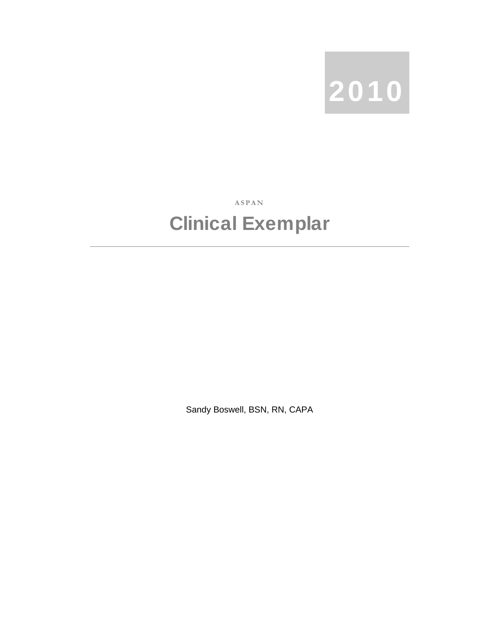

**ASPAN** 

## Clinical Exemplar

Sandy Boswell, BSN, RN, CAPA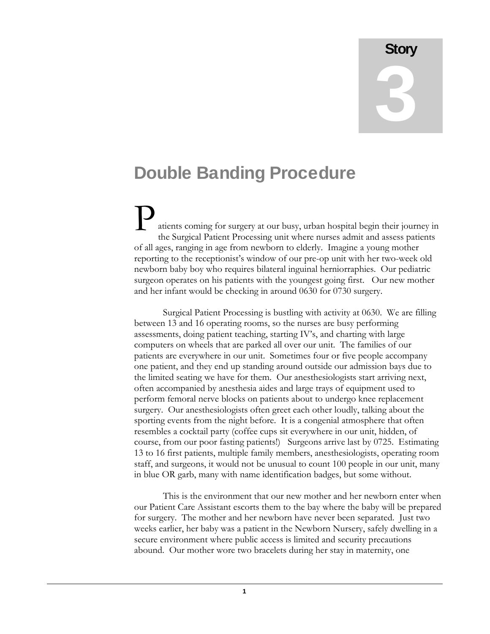**Story** 3

## Double Banding Procedure

ati ents coming for surgery at our busy, urban hospital begin their journey in th e Surgical Patient Processing unit where nurses admit and assess patients of all ages, ranging in age from newborn to elderly. Imagine a young mother reporting to the receptionist's window of our pre-op unit with her two-week old newborn baby boy who requires bilateral inguinal herniorraphies. Our pediatric surgeon operates on his patients with the youngest going first. Our new mother and her infant would be checking in around 0630 for 0730 surgery.  $\mathbf{P}_{\tiny \text{at}}$ 

Surgical Patient Processing is bustling with activity at 0630. We are filling between 13 and 16 operating rooms, so the nurses are busy performing assessments, doing patient teaching, starting IV's, and charting with large computers on wheels that are parked all over our unit. The families of our patients are everywhere in our unit. Sometimes four or five people accompany one patient, and they end up standing around outside our admission bays due to the limited seating we have for them. Our anesthesiologists start arriving next, often accompanied by anesthesia aides and large trays of equipment used to perform femoral nerve blocks on patients about to undergo knee replacement surgery. Our anesthesiologists often greet each other loudly, talking about the sporting events from the night before. It is a congenial atmosphere that often resembles a cocktail party (coffee cups sit everywhere in our unit, hidden, of course, from our poor fasting patients!) Surgeons arrive last by 0725. Estimating 13 to 16 first patients, multiple family members, anesthesiologists, operating room staff, and surgeons, it would not be unusual to count 100 people in our unit, many in blue OR garb, many with name identification badges, but some without.

 This is the environment that our new mother and her newborn enter when our Patient Care Assistant escorts them to the bay where the baby will be prepared for surgery. The mother and her newborn have never been separated. Just two weeks earlier, her baby was a patient in the Newborn Nursery, safely dwelling in a secure environment where public access is limited and security precautions abound. Our mother wore two bracelets during her stay in maternity, one

1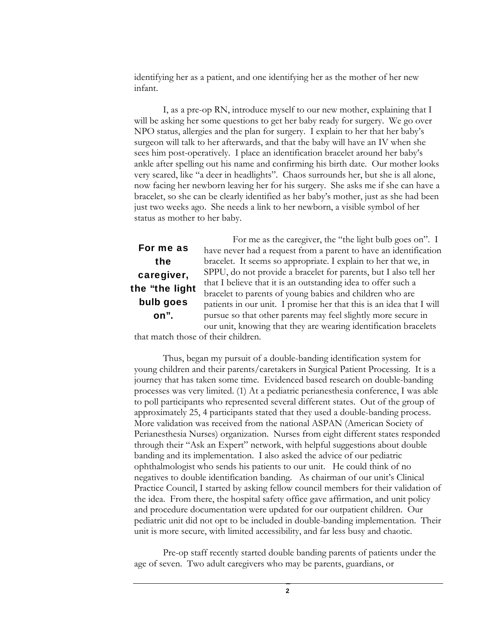identifying her as a patient, and one identifying her as the mother of her new infant.

 I, as a pre-op RN, introduce myself to our new mother, explaining that I will be asking her some questions to get her baby ready for surgery. We go over NPO status, allergies and the plan for surgery. I explain to her that her baby's surgeon will talk to her afterwards, and that the baby will have an IV when she sees him post-operatively. I place an identification bracelet around her baby's ankle after spelling out his name and confirming his birth date. Our mother looks very scared, like "a deer in headlights". Chaos surrounds her, but she is all alone, now facing her newborn leaving her for his surgery. She asks me if she can have a bracelet, so she can be clearly identified as her baby's mother, just as she had been just two weeks ago. She needs a link to her newborn, a visible symbol of her status as mother to her baby.

## For me as the caregiver, the "the light bulb goes on".

 For me as the caregiver, the "the light bulb goes on". I have never had a request from a parent to have an identification bracelet. It seems so appropriate. I explain to her that we, in SPPU, do not provide a bracelet for parents, but I also tell her that I believe that it is an outstanding idea to offer such a bracelet to parents of young babies and children who are patients in our unit. I promise her that this is an idea that I will pursue so that other parents may feel slightly more secure in our unit, knowing that they are wearing identification bracelets

that match those of their children.

Thus, began my pursuit of a double-banding identification system for young children and their parents/caretakers in Surgical Patient Processing. It is a journey that has taken some time. Evidenced based research on double-banding processes was very limited. (1) At a pediatric perianesthesia conference, I was able to poll participants who represented several different states. Out of the group of approximately 25, 4 participants stated that they used a double-banding process. More validation was received from the national ASPAN (American Society of Perianesthesia Nurses) organization. Nurses from eight different states responded through their "Ask an Expert" network, with helpful suggestions about double banding and its implementation. I also asked the advice of our pediatric ophthalmologist who sends his patients to our unit. He could think of no negatives to double identification banding. As chairman of our unit's Clinical Practice Council, I started by asking fellow council members for their validation of the idea. From there, the hospital safety office gave affirmation, and unit policy and procedure documentation were updated for our outpatient children. Our pediatric unit did not opt to be included in double-banding implementation. Their unit is more secure, with limited accessibility, and far less busy and chaotic.

Pre-op staff recently started double banding parents of patients under the age of seven. Two adult caregivers who may be parents, guardians, or